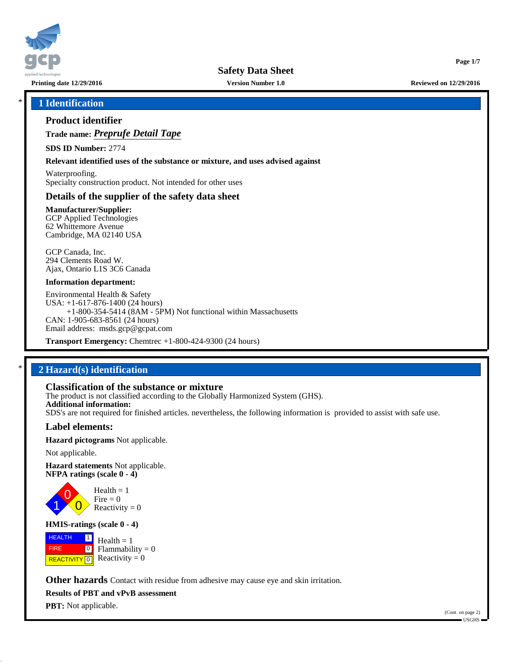

**Printing date 12/29/2016 Version Number 1.0 Reviewed on 12/29/2016**

**Page 1/7**

## \* **1 Identification**

## **Product identifier**

**Trade name:** *Preprufe Detail Tape*

**SDS ID Number:** 2774

**Relevant identified uses of the substance or mixture, and uses advised against**

Waterproofing. Specialty construction product. Not intended for other uses

## **Details of the supplier of the safety data sheet**

**Manufacturer/Supplier:** GCP Applied Technologies 62 Whittemore Avenue Cambridge, MA 02140 USA

GCP Canada, Inc. 294 Clements Road W. Ajax, Ontario L1S 3C6 Canada

#### **Information department:**

Environmental Health & Safety USA: +1-617-876-1400 (24 hours) +1-800-354-5414 (8AM - 5PM) Not functional within Massachusetts CAN: 1-905-683-8561 (24 hours) Email address: msds.gcp@gcpat.com

**Transport Emergency:** Chemtrec +1-800-424-9300 (24 hours)

## \* **2 Hazard(s) identification**

## **Classification of the substance or mixture**

The product is not classified according to the Globally Harmonized System (GHS). **Additional information:** SDS's are not required for finished articles. nevertheless, the following information is provided to assist with safe use.

## **Label elements:**

**Hazard pictograms** Not applicable.

Not applicable.

**Hazard statements** Not applicable. **NFPA ratings (scale 0 - 4)**



Reactivity  $= 0$ 

#### **HMIS-ratings (scale 0 - 4)**

**HEALTH**  FIRE **REACTIVITY** 0  $\boxed{1}$  $\boxed{0}$  $Health = 1$ Flammability  $= 0$ Reactivity  $= 0$ 

**Other hazards** Contact with residue from adhesive may cause eye and skin irritation.

**Results of PBT and vPvB assessment**

**PBT:** Not applicable.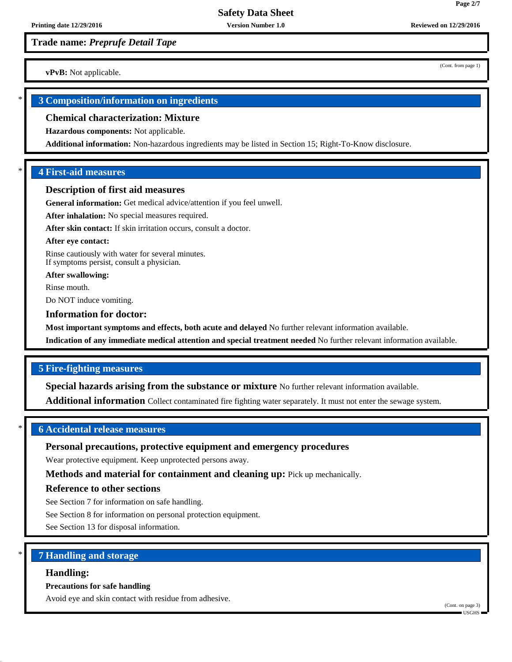**Trade name:** *Preprufe Detail Tape*

**vPvB:** Not applicable.

## \* **3 Composition/information on ingredients**

#### **Chemical characterization: Mixture**

**Hazardous components:** Not applicable.

**Additional information:** Non-hazardous ingredients may be listed in Section 15; Right-To-Know disclosure.

## \* **4 First-aid measures**

#### **Description of first aid measures**

**General information:** Get medical advice/attention if you feel unwell.

**After inhalation:** No special measures required.

**After skin contact:** If skin irritation occurs, consult a doctor.

#### **After eye contact:**

Rinse cautiously with water for several minutes. If symptoms persist, consult a physician.

**After swallowing:**

Rinse mouth.

Do NOT induce vomiting.

#### **Information for doctor:**

**Most important symptoms and effects, both acute and delayed** No further relevant information available.

**Indication of any immediate medical attention and special treatment needed** No further relevant information available.

## **5 Fire-fighting measures**

**Special hazards arising from the substance or mixture** No further relevant information available.

**Additional information** Collect contaminated fire fighting water separately. It must not enter the sewage system.

## \* **6 Accidental release measures**

## **Personal precautions, protective equipment and emergency procedures**

Wear protective equipment. Keep unprotected persons away.

**Methods and material for containment and cleaning up:** Pick up mechanically.

## **Reference to other sections**

See Section 7 for information on safe handling.

See Section 8 for information on personal protection equipment.

See Section 13 for disposal information.

## \* **7 Handling and storage**

#### **Handling:**

#### **Precautions for safe handling**

Avoid eye and skin contact with residue from adhesive.

(Cont. from page 1)

**Page 2/7**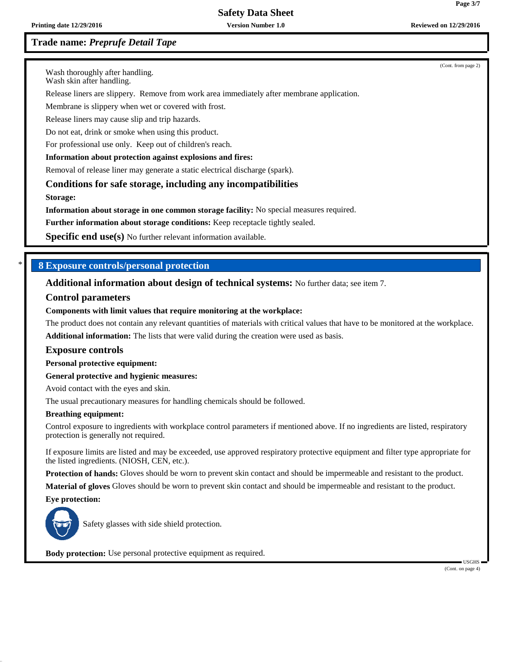# **Safety Data Sheet**

## **Trade name:** *Preprufe Detail Tape*

(Cont. from page 2)

Wash thoroughly after handling.

Wash skin after handling.

Release liners are slippery. Remove from work area immediately after membrane application.

Membrane is slippery when wet or covered with frost.

Release liners may cause slip and trip hazards.

Do not eat, drink or smoke when using this product.

For professional use only. Keep out of children's reach.

#### **Information about protection against explosions and fires:**

Removal of release liner may generate a static electrical discharge (spark).

**Conditions for safe storage, including any incompatibilities**

**Storage:**

**Information about storage in one common storage facility:** No special measures required.

**Further information about storage conditions:** Keep receptacle tightly sealed.

**Specific end use(s)** No further relevant information available.

### \* **8 Exposure controls/personal protection**

**Additional information about design of technical systems:** No further data; see item 7.

#### **Control parameters**

#### **Components with limit values that require monitoring at the workplace:**

The product does not contain any relevant quantities of materials with critical values that have to be monitored at the workplace. **Additional information:** The lists that were valid during the creation were used as basis.

#### **Exposure controls**

**Personal protective equipment:**

**General protective and hygienic measures:**

Avoid contact with the eyes and skin.

The usual precautionary measures for handling chemicals should be followed.

#### **Breathing equipment:**

Control exposure to ingredients with workplace control parameters if mentioned above. If no ingredients are listed, respiratory protection is generally not required.

If exposure limits are listed and may be exceeded, use approved respiratory protective equipment and filter type appropriate for the listed ingredients. (NIOSH, CEN, etc.).

**Protection of hands:** Gloves should be worn to prevent skin contact and should be impermeable and resistant to the product.

**Material of gloves** Gloves should be worn to prevent skin contact and should be impermeable and resistant to the product.

**Eye protection:**



Safety glasses with side shield protection.

**Body protection:** Use personal protective equipment as required.

 USGHS (Cont. on page 4)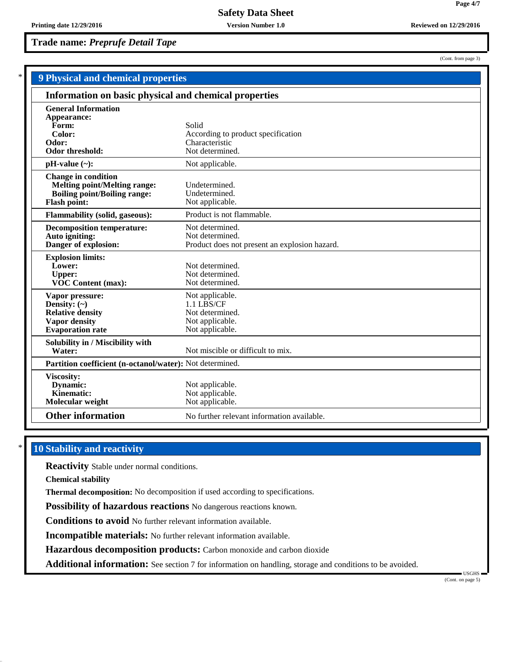**Trade name:** *Preprufe Detail Tape*

(Cont. from page 3)

**Page 4/7**

| <b>9 Physical and chemical properties</b>                |                                               |  |
|----------------------------------------------------------|-----------------------------------------------|--|
| Information on basic physical and chemical properties    |                                               |  |
| <b>General Information</b>                               |                                               |  |
| Appearance:                                              |                                               |  |
| Form:                                                    | Solid                                         |  |
| Color:                                                   | According to product specification            |  |
| Odor:                                                    | Characteristic                                |  |
| <b>Odor threshold:</b>                                   | Not determined.                               |  |
| $pH-value (\sim):$                                       | Not applicable.                               |  |
| <b>Change in condition</b>                               |                                               |  |
| <b>Melting point/Melting range:</b>                      | Undetermined.                                 |  |
| <b>Boiling point/Boiling range:</b>                      | Undetermined.                                 |  |
| <b>Flash point:</b>                                      | Not applicable.                               |  |
| <b>Flammability (solid, gaseous):</b>                    | Product is not flammable.                     |  |
| <b>Decomposition temperature:</b>                        | Not determined.                               |  |
| Auto igniting:                                           | Not determined.                               |  |
| Danger of explosion:                                     | Product does not present an explosion hazard. |  |
| <b>Explosion limits:</b>                                 |                                               |  |
| Lower:                                                   | Not determined.                               |  |
| <b>Upper:</b>                                            | Not determined.                               |  |
| <b>VOC Content (max):</b>                                | Not determined.                               |  |
| Vapor pressure:                                          | Not applicable.                               |  |
| Density: $(\sim)$                                        | 1.1 LBS/CF                                    |  |
| <b>Relative density</b>                                  | Not determined.                               |  |
| <b>Vapor density</b>                                     | Not applicable.                               |  |
| <b>Evaporation</b> rate                                  | Not applicable.                               |  |
| Solubility in / Miscibility with                         |                                               |  |
| Water:                                                   | Not miscible or difficult to mix.             |  |
| Partition coefficient (n-octanol/water): Not determined. |                                               |  |
| Viscosity:                                               |                                               |  |
| Dynamic:                                                 | Not applicable.                               |  |
| Kinematic:                                               | Not applicable.                               |  |
| Molecular weight                                         | Not applicable.                               |  |
| <b>Other information</b>                                 | No further relevant information available.    |  |
|                                                          |                                               |  |

## **10 Stability and reactivity**

**Reactivity** Stable under normal conditions.

**Chemical stability**

**Thermal decomposition:** No decomposition if used according to specifications.

**Possibility of hazardous reactions** No dangerous reactions known.

**Conditions to avoid** No further relevant information available.

**Incompatible materials:** No further relevant information available.

**Hazardous decomposition products:** Carbon monoxide and carbon dioxide

**Additional information:** See section 7 for information on handling, storage and conditions to be avoided.

 USGHS (Cont. on page 5)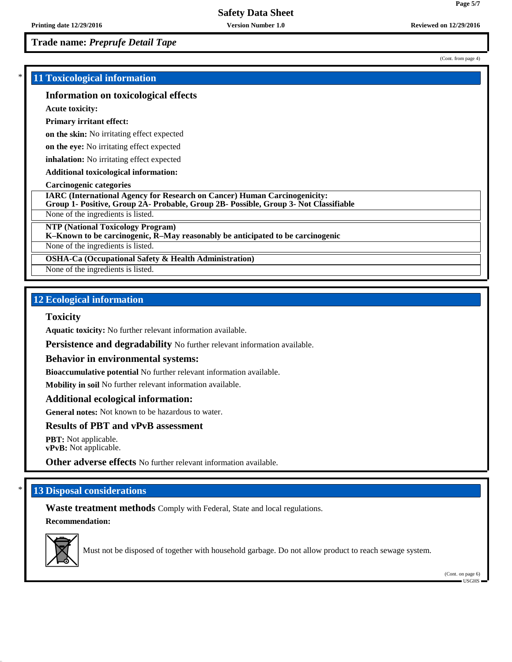**Trade name:** *Preprufe Detail Tape*

## \* **11 Toxicological information**

### **Information on toxicological effects**

**Acute toxicity:**

#### **Primary irritant effect:**

**on the skin:** No irritating effect expected

**on the eye:** No irritating effect expected

**inhalation:** No irritating effect expected

**Additional toxicological information:**

#### **Carcinogenic categories**

**IARC (International Agency for Research on Cancer) Human Carcinogenicity:**

**Group 1- Positive, Group 2A- Probable, Group 2B- Possible, Group 3- Not Classifiable**

None of the ingredients is listed.

**NTP (National Toxicology Program)**

**K–Known to be carcinogenic, R–May reasonably be anticipated to be carcinogenic**

None of the ingredients is listed.

**OSHA-Ca (Occupational Safety & Health Administration)**

None of the ingredients is listed.

## **12 Ecological information**

#### **Toxicity**

**Aquatic toxicity:** No further relevant information available.

**Persistence and degradability** No further relevant information available.

#### **Behavior in environmental systems:**

**Bioaccumulative potential** No further relevant information available.

**Mobility in soil** No further relevant information available.

#### **Additional ecological information:**

**General notes:** Not known to be hazardous to water.

## **Results of PBT and vPvB assessment**

**PBT:** Not applicable. **vPvB:** Not applicable.

**Other adverse effects** No further relevant information available.

## **13 Disposal considerations**

**Waste treatment methods** Comply with Federal, State and local regulations. **Recommendation:**



Must not be disposed of together with household garbage. Do not allow product to reach sewage system.

(Cont. on page 6) USGHS

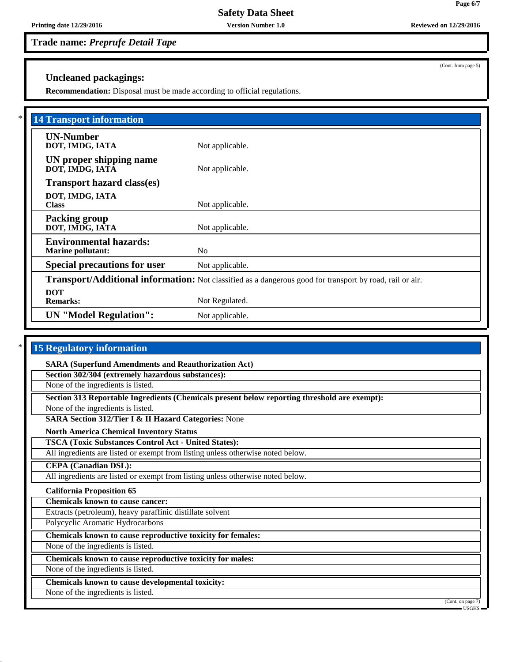**Safety Data Sheet**

**Printing date 12/29/2016 Version Number 1.0 Reviewed on 12/29/2016**

**Trade name:** *Preprufe Detail Tape*

(Cont. from page 5)

## **Uncleaned packagings:**

**Recommendation:** Disposal must be made according to official regulations.

| <b>14 Transport information</b>                           |                                                                                                          |
|-----------------------------------------------------------|----------------------------------------------------------------------------------------------------------|
| <b>UN-Number</b><br>DOT, IMDG, IATA                       | Not applicable.                                                                                          |
| UN proper shipping name<br>DOT, IMDG, IATĀ                | Not applicable.                                                                                          |
| <b>Transport hazard class(es)</b>                         |                                                                                                          |
| DOT, IMDG, IATA<br><b>Class</b>                           | Not applicable.                                                                                          |
| <b>Packing group</b><br>DOT, IMDG, IATA                   | Not applicable.                                                                                          |
| <b>Environmental hazards:</b><br><b>Marine pollutant:</b> | N <sub>0</sub>                                                                                           |
| <b>Special precautions for user</b>                       | Not applicable.                                                                                          |
|                                                           | Transport/Additional information: Not classified as a dangerous good for transport by road, rail or air. |
| <b>DOT</b><br><b>Remarks:</b>                             | Not Regulated.                                                                                           |
| <b>UN</b> "Model Regulation":                             | Not applicable.                                                                                          |

# **15 Regulatory information**

**SARA (Superfund Amendments and Reauthorization Act)**

**Section 302/304 (extremely hazardous substances):**

None of the ingredients is listed.

**Section 313 Reportable Ingredients (Chemicals present below reporting threshold are exempt):**

None of the ingredients is listed.

**SARA Section 312/Tier I & II Hazard Categories:** None

**North America Chemical Inventory Status**

**TSCA (Toxic Substances Control Act - United States):**

All ingredients are listed or exempt from listing unless otherwise noted below.

**CEPA (Canadian DSL):**

All ingredients are listed or exempt from listing unless otherwise noted below.

## **California Proposition 65**

**Chemicals known to cause cancer:**

Extracts (petroleum), heavy paraffinic distillate solvent

Polycyclic Aromatic Hydrocarbons

**Chemicals known to cause reproductive toxicity for females:**

None of the ingredients is listed.

**Chemicals known to cause reproductive toxicity for males:**

None of the ingredients is listed.

**Chemicals known to cause developmental toxicity:**

None of the ingredients is listed.

(Cont. on page 7)